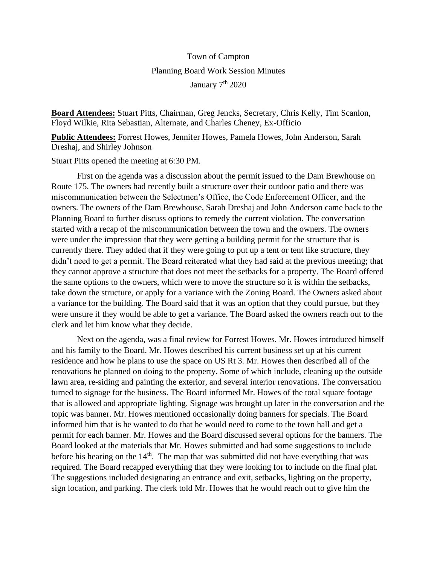## Town of Campton Planning Board Work Session Minutes January 7<sup>th</sup> 2020

**Board Attendees:** Stuart Pitts, Chairman, Greg Jencks, Secretary, Chris Kelly, Tim Scanlon, Floyd Wilkie, Rita Sebastian, Alternate, and Charles Cheney, Ex-Officio

**Public Attendees:** Forrest Howes, Jennifer Howes, Pamela Howes, John Anderson, Sarah Dreshaj, and Shirley Johnson

Stuart Pitts opened the meeting at 6:30 PM.

First on the agenda was a discussion about the permit issued to the Dam Brewhouse on Route 175. The owners had recently built a structure over their outdoor patio and there was miscommunication between the Selectmen's Office, the Code Enforcement Officer, and the owners. The owners of the Dam Brewhouse, Sarah Dreshaj and John Anderson came back to the Planning Board to further discuss options to remedy the current violation. The conversation started with a recap of the miscommunication between the town and the owners. The owners were under the impression that they were getting a building permit for the structure that is currently there. They added that if they were going to put up a tent or tent like structure, they didn't need to get a permit. The Board reiterated what they had said at the previous meeting; that they cannot approve a structure that does not meet the setbacks for a property. The Board offered the same options to the owners, which were to move the structure so it is within the setbacks, take down the structure, or apply for a variance with the Zoning Board. The Owners asked about a variance for the building. The Board said that it was an option that they could pursue, but they were unsure if they would be able to get a variance. The Board asked the owners reach out to the clerk and let him know what they decide.

Next on the agenda, was a final review for Forrest Howes. Mr. Howes introduced himself and his family to the Board. Mr. Howes described his current business set up at his current residence and how he plans to use the space on US Rt 3. Mr. Howes then described all of the renovations he planned on doing to the property. Some of which include, cleaning up the outside lawn area, re-siding and painting the exterior, and several interior renovations. The conversation turned to signage for the business. The Board informed Mr. Howes of the total square footage that is allowed and appropriate lighting. Signage was brought up later in the conversation and the topic was banner. Mr. Howes mentioned occasionally doing banners for specials. The Board informed him that is he wanted to do that he would need to come to the town hall and get a permit for each banner. Mr. Howes and the Board discussed several options for the banners. The Board looked at the materials that Mr. Howes submitted and had some suggestions to include before his hearing on the 14<sup>th</sup>. The map that was submitted did not have everything that was required. The Board recapped everything that they were looking for to include on the final plat. The suggestions included designating an entrance and exit, setbacks, lighting on the property, sign location, and parking. The clerk told Mr. Howes that he would reach out to give him the